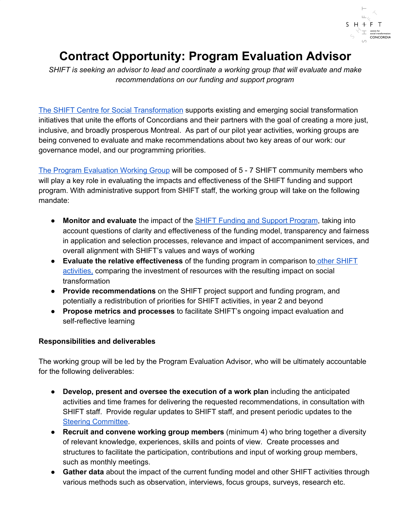

# **Contract Opportunity: Program Evaluation Advisor**

*SHIFT is seeking an advisor to lead and coordinate a working group that will evaluate and make recommendations on our funding and support program*

The SHIFT Centre for Social [Transformation](https://www.concordia.ca/about/shift.html) supports existing and emerging social transformation initiatives that unite the efforts of Concordians and their partners with the goal of creating a more just, inclusive, and broadly prosperous Montreal. As part of our pilot year activities, working groups are being convened to evaluate and make recommendations about two key areas of our work: our governance model, and our programming priorities.

The Program [Evaluation](https://www.concordia.ca/about/shift/governance/evaluation-working-group.html) Working Group will be composed of 5 - 7 SHIFT community members who will play a key role in evaluating the impacts and effectiveness of the SHIFT funding and support program. With administrative support from SHIFT staff, the working group will take on the following mandate:

- **Monitor and evaluate** the impact of the SHIFT Funding and Support [Program](http://www.concordia.ca/about/shift/funding.html), taking into account questions of clarity and effectiveness of the funding model, transparency and fairness in application and selection processes, relevance and impact of accompaniment services, and overall alignment with SHIFT's values and ways of working
- **● Evaluate the relative effectiveness** of the funding program in comparison to other [SHIFT](https://www.concordia.ca/about/shift/what-we-do.html) [activities,](https://www.concordia.ca/about/shift/what-we-do.html) comparing the investment of resources with the resulting impact on social transformation
- **Provide recommendations** on the SHIFT project support and funding program, and potentially a redistribution of priorities for SHIFT activities, in year 2 and beyond
- **Propose metrics and processes** to facilitate SHIFT's ongoing impact evaluation and self-reflective learning

# **Responsibilities and deliverables**

The working group will be led by the Program Evaluation Advisor, who will be ultimately accountable for the following deliverables:

- **Develop, present and oversee the execution of a work plan** including the anticipated activities and time frames for delivering the requested recommendations, in consultation with SHIFT staff. Provide regular updates to SHIFT staff, and present periodic updates to the Steering [Committee](https://www.concordia.ca/about/shift/governance/steering-committee.html).
- **Recruit and convene working group members** (minimum 4) who bring together a diversity of relevant knowledge, experiences, skills and points of view. Create processes and structures to facilitate the participation, contributions and input of working group members, such as monthly meetings.
- **Gather data** about the impact of the current funding model and other SHIFT activities through various methods such as observation, interviews, focus groups, surveys, research etc.